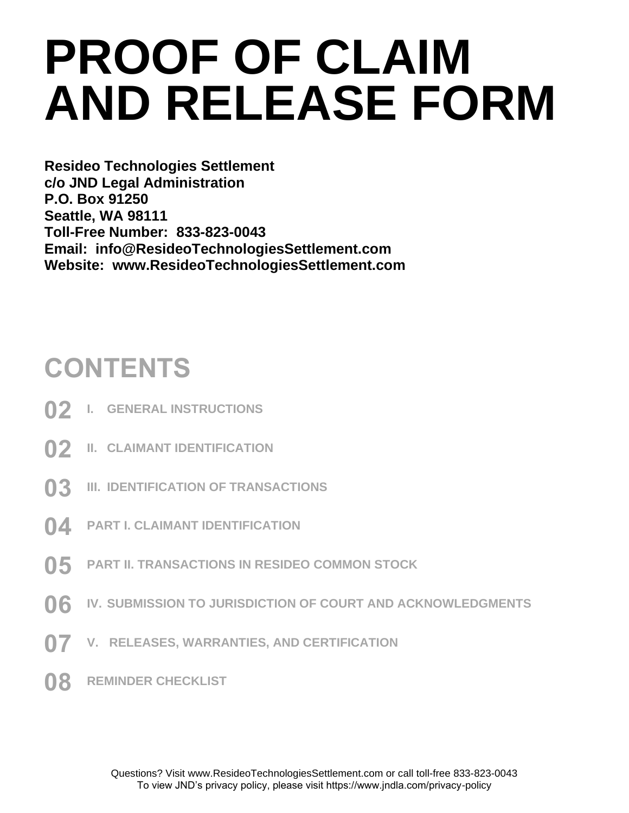# **PROOF OF CLAIM AND RELEASE FORM**

**Resideo Technologies Settlement c/o JND Legal Administration P.O. Box 91250 Seattle, WA 98111 Toll-Free Number: 833-823-0043 Email: info@ResideoTechnologiesSettlement.com Website: www.ResideoTechnologiesSettlement.com**

### **CONTENTS**

- **02 I. GENERAL INSTRUCTIONS**
- **02 II. CLAIMANT IDENTIFICATION**
- **03 III. IDENTIFICATION OF TRANSACTIONS**
- **04 PART I. CLAIMANT IDENTIFICATION**
- **05 PART II. TRANSACTIONS IN RESIDEO COMMON STOCK**
- **06 IV. SUBMISSION TO JURISDICTION OF COURT AND ACKNOWLEDGMENTS**
- **07 V. RELEASES, WARRANTIES, AND CERTIFICATION**
- **08 REMINDER CHECKLIST**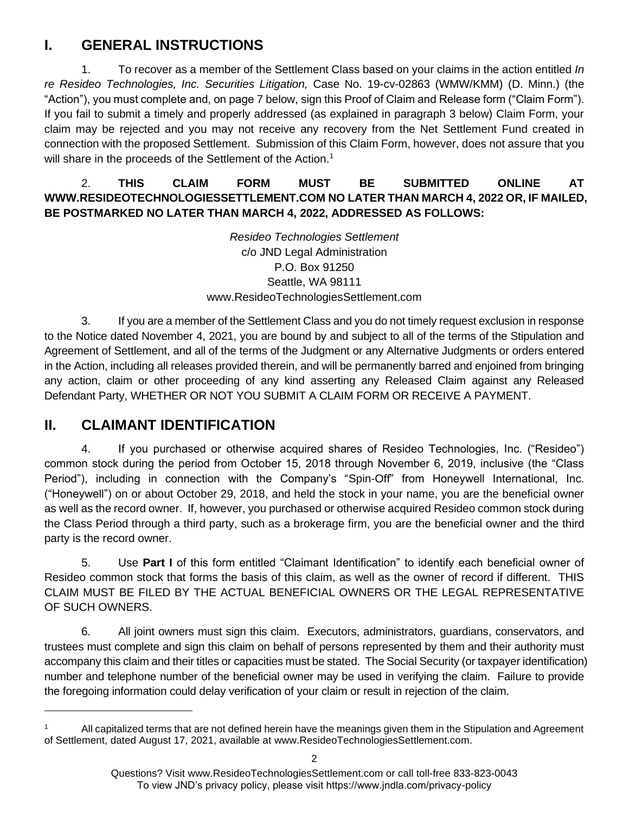#### **I. GENERAL INSTRUCTIONS**

1. To recover as a member of the Settlement Class based on your claims in the action entitled *In re Resideo Technologies, Inc. Securities Litigation,* Case No. 19-cv-02863 (WMW/KMM) (D. Minn.) (the "Action"), you must complete and, on page 7 below, sign this Proof of Claim and Release form ("Claim Form"). If you fail to submit a timely and properly addressed (as explained in paragraph 3 below) Claim Form, your claim may be rejected and you may not receive any recovery from the Net Settlement Fund created in connection with the proposed Settlement. Submission of this Claim Form, however, does not assure that you will share in the proceeds of the Settlement of the Action.<sup>1</sup>

#### 2. **THIS CLAIM FORM MUST BE SUBMITTED ONLINE AT WWW.RESIDEOTECHNOLOGIESSETTLEMENT.COM NO LATER THAN MARCH 4, 2022 OR, IF MAILED, BE POSTMARKED NO LATER THAN MARCH 4, 2022, ADDRESSED AS FOLLOWS:**

*Resideo Technologies Settlement* c/o JND Legal Administration P.O. Box 91250 Seattle, WA 98111 www.ResideoTechnologiesSettlement.com

3. If you are a member of the Settlement Class and you do not timely request exclusion in response to the Notice dated November 4, 2021, you are bound by and subject to all of the terms of the Stipulation and Agreement of Settlement, and all of the terms of the Judgment or any Alternative Judgments or orders entered in the Action, including all releases provided therein, and will be permanently barred and enjoined from bringing any action, claim or other proceeding of any kind asserting any Released Claim against any Released Defendant Party, WHETHER OR NOT YOU SUBMIT A CLAIM FORM OR RECEIVE A PAYMENT.

### **II. CLAIMANT IDENTIFICATION**

4. If you purchased or otherwise acquired shares of Resideo Technologies, Inc. ("Resideo") common stock during the period from October 15, 2018 through November 6, 2019, inclusive (the "Class Period"), including in connection with the Company's "Spin-Off" from Honeywell International, Inc. ("Honeywell") on or about October 29, 2018, and held the stock in your name, you are the beneficial owner as well as the record owner. If, however, you purchased or otherwise acquired Resideo common stock during the Class Period through a third party, such as a brokerage firm, you are the beneficial owner and the third party is the record owner.

5. Use **Part I** of this form entitled "Claimant Identification" to identify each beneficial owner of Resideo common stock that forms the basis of this claim, as well as the owner of record if different. THIS CLAIM MUST BE FILED BY THE ACTUAL BENEFICIAL OWNERS OR THE LEGAL REPRESENTATIVE OF SUCH OWNERS.

6. All joint owners must sign this claim. Executors, administrators, guardians, conservators, and trustees must complete and sign this claim on behalf of persons represented by them and their authority must accompany this claim and their titles or capacities must be stated. The Social Security (or taxpayer identification) number and telephone number of the beneficial owner may be used in verifying the claim. Failure to provide the foregoing information could delay verification of your claim or result in rejection of the claim.

Questions? Visit www.ResideoTechnologiesSettlement.com or call toll-free 833-823-0043 To view JND's privacy policy, please visit https://www.jndla.com/privacy-policy

<sup>&</sup>lt;sup>1</sup> All capitalized terms that are not defined herein have the meanings given them in the Stipulation and Agreement of Settlement, dated August 17, 2021, available at www.ResideoTechnologiesSettlement.com.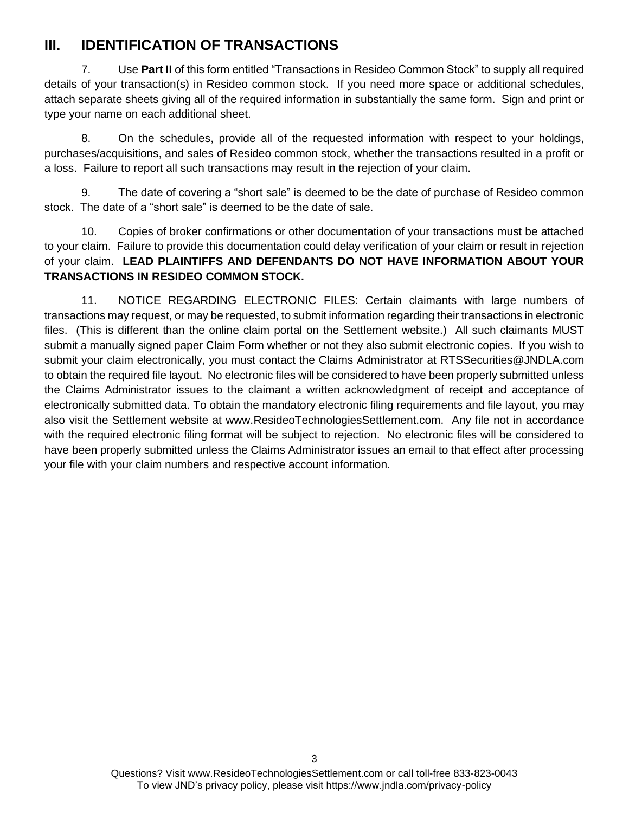#### **III. IDENTIFICATION OF TRANSACTIONS**

7. Use **Part II** of this form entitled "Transactions in Resideo Common Stock" to supply all required details of your transaction(s) in Resideo common stock. If you need more space or additional schedules, attach separate sheets giving all of the required information in substantially the same form. Sign and print or type your name on each additional sheet.

8. On the schedules, provide all of the requested information with respect to your holdings, purchases/acquisitions, and sales of Resideo common stock, whether the transactions resulted in a profit or a loss. Failure to report all such transactions may result in the rejection of your claim.

9. The date of covering a "short sale" is deemed to be the date of purchase of Resideo common stock. The date of a "short sale" is deemed to be the date of sale.

10. Copies of broker confirmations or other documentation of your transactions must be attached to your claim. Failure to provide this documentation could delay verification of your claim or result in rejection of your claim. **LEAD PLAINTIFFS AND DEFENDANTS DO NOT HAVE INFORMATION ABOUT YOUR TRANSACTIONS IN RESIDEO COMMON STOCK.**

11. NOTICE REGARDING ELECTRONIC FILES: Certain claimants with large numbers of transactions may request, or may be requested, to submit information regarding their transactions in electronic files. (This is different than the online claim portal on the Settlement website.) All such claimants MUST submit a manually signed paper Claim Form whether or not they also submit electronic copies. If you wish to submit your claim electronically, you must contact the Claims Administrator at RTSSecurities@JNDLA.com to obtain the required file layout. No electronic files will be considered to have been properly submitted unless the Claims Administrator issues to the claimant a written acknowledgment of receipt and acceptance of electronically submitted data. To obtain the mandatory electronic filing requirements and file layout, you may also visit the Settlement website at www.ResideoTechnologiesSettlement.com. Any file not in accordance with the required electronic filing format will be subject to rejection. No electronic files will be considered to have been properly submitted unless the Claims Administrator issues an email to that effect after processing your file with your claim numbers and respective account information.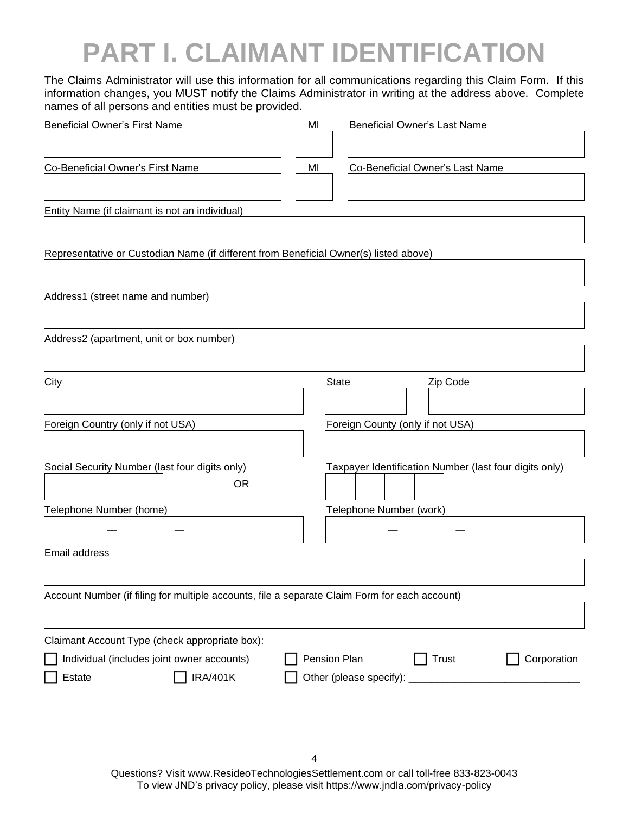### **PART I. CLAIMANT IDENTIFICATION**

The Claims Administrator will use this information for all communications regarding this Claim Form. If this information changes, you MUST notify the Claims Administrator in writing at the address above. Complete names of all persons and entities must be provided.

| <b>Beneficial Owner's First Name</b>                                                          | MI           | Beneficial Owner's Last Name                           |  |  |  |
|-----------------------------------------------------------------------------------------------|--------------|--------------------------------------------------------|--|--|--|
|                                                                                               |              |                                                        |  |  |  |
| Co-Beneficial Owner's First Name                                                              | MI           | Co-Beneficial Owner's Last Name                        |  |  |  |
|                                                                                               |              |                                                        |  |  |  |
| Entity Name (if claimant is not an individual)                                                |              |                                                        |  |  |  |
|                                                                                               |              |                                                        |  |  |  |
| Representative or Custodian Name (if different from Beneficial Owner(s) listed above)         |              |                                                        |  |  |  |
|                                                                                               |              |                                                        |  |  |  |
| Address1 (street name and number)                                                             |              |                                                        |  |  |  |
|                                                                                               |              |                                                        |  |  |  |
| Address2 (apartment, unit or box number)                                                      |              |                                                        |  |  |  |
|                                                                                               |              |                                                        |  |  |  |
| City                                                                                          | <b>State</b> | Zip Code                                               |  |  |  |
|                                                                                               |              |                                                        |  |  |  |
| Foreign Country (only if not USA)                                                             |              | Foreign County (only if not USA)                       |  |  |  |
|                                                                                               |              |                                                        |  |  |  |
| Social Security Number (last four digits only)                                                |              | Taxpayer Identification Number (last four digits only) |  |  |  |
| <b>OR</b>                                                                                     |              |                                                        |  |  |  |
| Telephone Number (home)                                                                       |              | Telephone Number (work)                                |  |  |  |
|                                                                                               |              |                                                        |  |  |  |
| Email address                                                                                 |              |                                                        |  |  |  |
|                                                                                               |              |                                                        |  |  |  |
| Account Number (if filing for multiple accounts, file a separate Claim Form for each account) |              |                                                        |  |  |  |
|                                                                                               |              |                                                        |  |  |  |
| Claimant Account Type (check appropriate box):                                                |              |                                                        |  |  |  |
| Individual (includes joint owner accounts)                                                    | Pension Plan | <b>Trust</b><br>Corporation                            |  |  |  |
| <b>IRA/401K</b><br>Estate                                                                     |              | Other (please specify): ___________                    |  |  |  |
|                                                                                               |              |                                                        |  |  |  |
|                                                                                               |              |                                                        |  |  |  |

Questions? Visit www.ResideoTechnologiesSettlement.com or call toll-free 833-823-0043 To view JND's privacy policy, please visit https://www.jndla.com/privacy-policy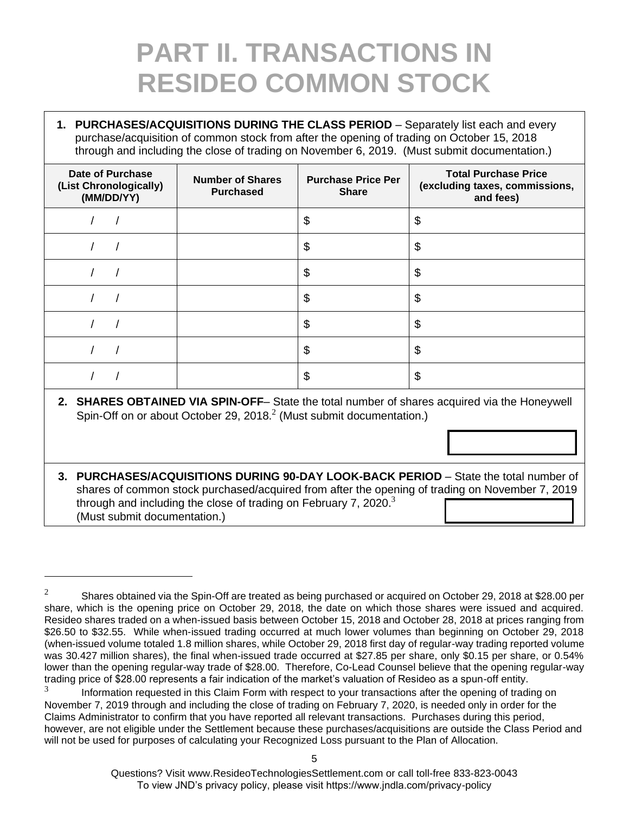### **PART II. TRANSACTIONS IN RESIDEO COMMON STOCK**

**1. PURCHASES/ACQUISITIONS DURING THE CLASS PERIOD – Separately list each and every** purchase/acquisition of common stock from after the opening of trading on October 15, 2018 through and including the close of trading on November 6, 2019. (Must submit documentation.)

| <b>Date of Purchase</b><br>(List Chronologically)<br>(MM/DD/YY) | <b>Number of Shares</b><br><b>Purchased</b> | <b>Purchase Price Per</b><br><b>Share</b> | <b>Total Purchase Price</b><br>(excluding taxes, commissions,<br>and fees) |
|-----------------------------------------------------------------|---------------------------------------------|-------------------------------------------|----------------------------------------------------------------------------|
|                                                                 |                                             | \$                                        | \$                                                                         |
|                                                                 |                                             | \$                                        | \$                                                                         |
|                                                                 |                                             | \$                                        | \$                                                                         |
|                                                                 |                                             | \$                                        | \$                                                                         |
|                                                                 |                                             | \$                                        | \$                                                                         |
|                                                                 |                                             | \$                                        | \$                                                                         |
|                                                                 |                                             | \$                                        | \$                                                                         |

- **2. SHARES OBTAINED VIA SPIN-OFF** State the total number of shares acquired via the Honeywell Spin-Off on or about October 29, 2018. $^2$  (Must submit documentation.)
- **3. PURCHASES/ACQUISITIONS DURING 90-DAY LOOK-BACK PERIOD**  State the total number of shares of common stock purchased/acquired from after the opening of trading on November 7, 2019 through and including the close of trading on February 7, 2020. $3$ (Must submit documentation.)

<sup>&</sup>lt;sup>2</sup> Shares obtained via the Spin-Off are treated as being purchased or acquired on October 29, 2018 at \$28.00 per share, which is the opening price on October 29, 2018, the date on which those shares were issued and acquired. Resideo shares traded on a when-issued basis between October 15, 2018 and October 28, 2018 at prices ranging from \$26.50 to \$32.55. While when-issued trading occurred at much lower volumes than beginning on October 29, 2018 (when-issued volume totaled 1.8 million shares, while October 29, 2018 first day of regular-way trading reported volume was 30.427 million shares), the final when-issued trade occurred at \$27.85 per share, only \$0.15 per share, or 0.54% lower than the opening regular-way trade of \$28.00. Therefore, Co-Lead Counsel believe that the opening regular-way trading price of \$28.00 represents a fair indication of the market's valuation of Resideo as a spun-off entity.

<sup>3</sup> Information requested in this Claim Form with respect to your transactions after the opening of trading on November 7, 2019 through and including the close of trading on February 7, 2020, is needed only in order for the Claims Administrator to confirm that you have reported all relevant transactions. Purchases during this period, however, are not eligible under the Settlement because these purchases/acquisitions are outside the Class Period and will not be used for purposes of calculating your Recognized Loss pursuant to the Plan of Allocation.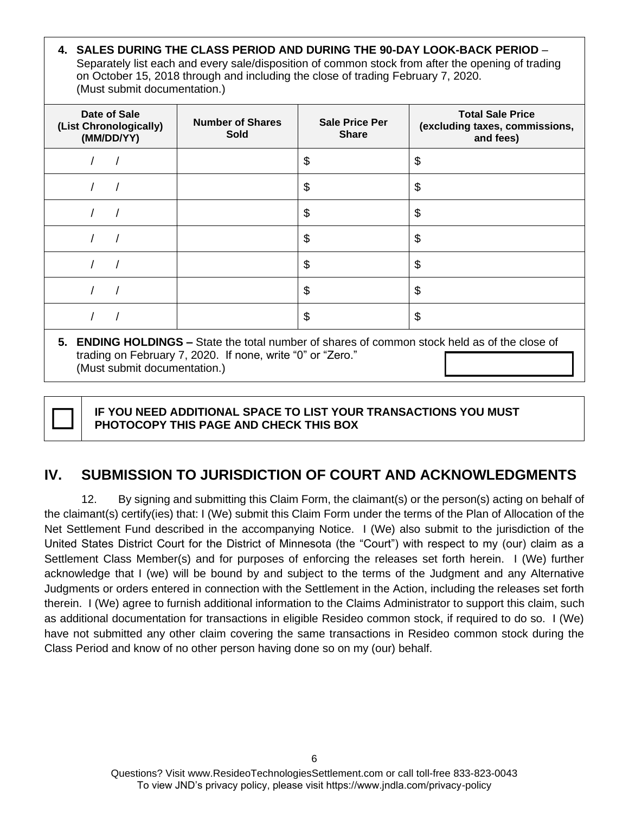**4. SALES DURING THE CLASS PERIOD AND DURING THE 90-DAY LOOK-BACK PERIOD** – Separately list each and every sale/disposition of common stock from after the opening of trading on October 15, 2018 through and including the close of trading February 7, 2020. (Must submit documentation.)

| Date of Sale<br>(List Chronologically)<br>(MM/DD/YY)                                          | <b>Number of Shares</b><br><b>Sold</b> | <b>Sale Price Per</b><br><b>Share</b> | <b>Total Sale Price</b><br>(excluding taxes, commissions,<br>and fees) |  |
|-----------------------------------------------------------------------------------------------|----------------------------------------|---------------------------------------|------------------------------------------------------------------------|--|
|                                                                                               |                                        | \$                                    | \$                                                                     |  |
|                                                                                               |                                        | \$                                    | \$                                                                     |  |
|                                                                                               |                                        | \$                                    | \$                                                                     |  |
|                                                                                               |                                        | \$                                    | \$                                                                     |  |
|                                                                                               |                                        | \$                                    | \$                                                                     |  |
|                                                                                               |                                        | \$                                    | \$                                                                     |  |
|                                                                                               |                                        | \$                                    | \$                                                                     |  |
| 5. ENDING HOLDINGS – State the total number of shares of common stock held as of the close of |                                        |                                       |                                                                        |  |

trading on February 7, 2020. If none, write "0" or "Zero." (Must submit documentation.)



 **IF YOU NEED ADDITIONAL SPACE TO LIST YOUR TRANSACTIONS YOU MUST PHOTOCOPY THIS PAGE AND CHECK THIS BOX** 

### **IV. SUBMISSION TO JURISDICTION OF COURT AND ACKNOWLEDGMENTS**

12. By signing and submitting this Claim Form, the claimant(s) or the person(s) acting on behalf of the claimant(s) certify(ies) that: I (We) submit this Claim Form under the terms of the Plan of Allocation of the Net Settlement Fund described in the accompanying Notice. I (We) also submit to the jurisdiction of the United States District Court for the District of Minnesota (the "Court") with respect to my (our) claim as a Settlement Class Member(s) and for purposes of enforcing the releases set forth herein. I (We) further acknowledge that I (we) will be bound by and subject to the terms of the Judgment and any Alternative Judgments or orders entered in connection with the Settlement in the Action, including the releases set forth therein. I (We) agree to furnish additional information to the Claims Administrator to support this claim, such as additional documentation for transactions in eligible Resideo common stock, if required to do so. I (We) have not submitted any other claim covering the same transactions in Resideo common stock during the Class Period and know of no other person having done so on my (our) behalf.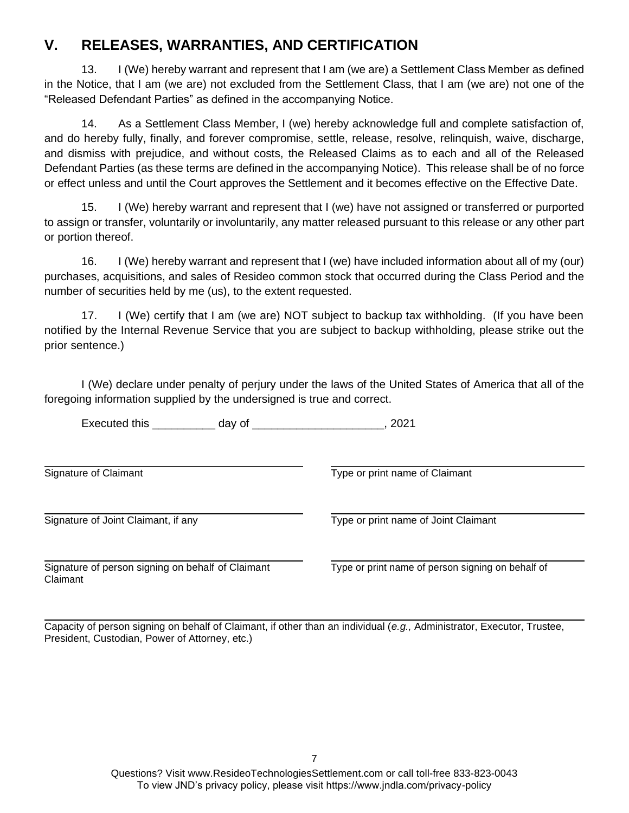#### **V. RELEASES, WARRANTIES, AND CERTIFICATION**

13. I (We) hereby warrant and represent that I am (we are) a Settlement Class Member as defined in the Notice, that I am (we are) not excluded from the Settlement Class, that I am (we are) not one of the "Released Defendant Parties" as defined in the accompanying Notice.

14. As a Settlement Class Member, I (we) hereby acknowledge full and complete satisfaction of, and do hereby fully, finally, and forever compromise, settle, release, resolve, relinquish, waive, discharge, and dismiss with prejudice, and without costs, the Released Claims as to each and all of the Released Defendant Parties (as these terms are defined in the accompanying Notice). This release shall be of no force or effect unless and until the Court approves the Settlement and it becomes effective on the Effective Date.

15. I (We) hereby warrant and represent that I (we) have not assigned or transferred or purported to assign or transfer, voluntarily or involuntarily, any matter released pursuant to this release or any other part or portion thereof.

16. I (We) hereby warrant and represent that I (we) have included information about all of my (our) purchases, acquisitions, and sales of Resideo common stock that occurred during the Class Period and the number of securities held by me (us), to the extent requested.

17. I (We) certify that I am (we are) NOT subject to backup tax withholding. (If you have been notified by the Internal Revenue Service that you are subject to backup withholding, please strike out the prior sentence.)

I (We) declare under penalty of perjury under the laws of the United States of America that all of the foregoing information supplied by the undersigned is true and correct.

Executed this \_\_\_\_\_\_\_\_\_\_ day of \_\_\_\_\_\_\_\_\_\_\_\_\_\_\_\_\_\_\_\_\_, 2021

Signature of Claimant Type or print name of Claimant

Signature of Joint Claimant, if any Type or print name of Joint Claimant

Signature of person signing on behalf of Claimant Type or print name of person signing on behalf of Claimant

Capacity of person signing on behalf of Claimant, if other than an individual (*e.g.,* Administrator, Executor, Trustee, President, Custodian, Power of Attorney, etc.)